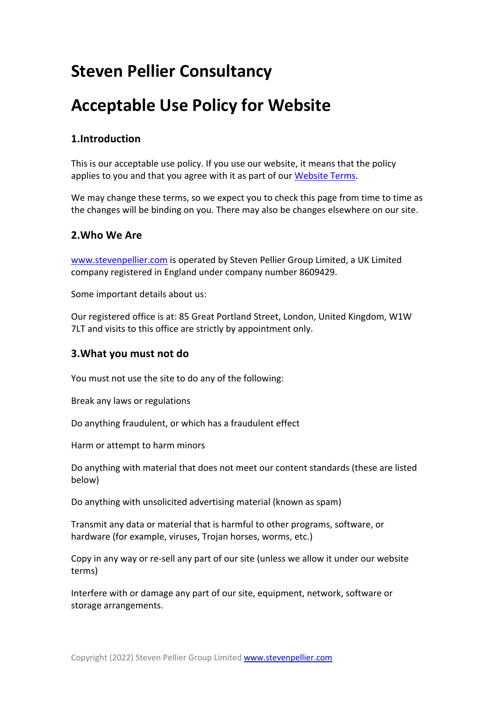# **Steven Pellier Consultancy**

# **Acceptable Use Policy for Website**

# **1.Introduction**

This is our acceptable use policy. If you use our website, it means that the policy applies to you and that you agree with it as part of our Website Terms.

We may change these terms, so we expect you to check this page from time to time as the changes will be binding on you. There may also be changes elsewhere on our site.

## **2.Who We Are**

www.stevenpellier.com is operated by Steven Pellier Group Limited, a UK Limited company registered in England under company number 8609429.

Some important details about us:

Our registered office is at: 85 Great Portland Street, London, United Kingdom, W1W 7LT and visits to this office are strictly by appointment only.

### **3.What you must not do**

You must not use the site to do any of the following:

Break any laws or regulations

Do anything fraudulent, or which has a fraudulent effect

Harm or attempt to harm minors

Do anything with material that does not meet our content standards (these are listed below)

Do anything with unsolicited advertising material (known as spam)

Transmit any data or material that is harmful to other programs, software, or hardware (for example, viruses, Trojan horses, worms, etc.)

Copy in any way or re-sell any part of our site (unless we allow it under our website terms)

Interfere with or damage any part of our site, equipment, network, software or storage arrangements.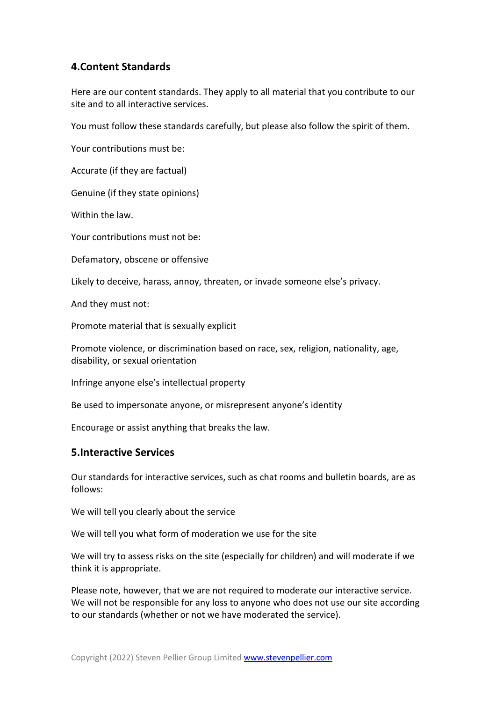# **4.Content Standards**

Here are our content standards. They apply to all material that you contribute to our site and to all interactive services.

You must follow these standards carefully, but please also follow the spirit of them.

Your contributions must be:

Accurate (if they are factual)

Genuine (if they state opinions)

Within the law.

Your contributions must not be:

Defamatory, obscene or offensive

Likely to deceive, harass, annoy, threaten, or invade someone else's privacy.

And they must not:

Promote material that is sexually explicit

Promote violence, or discrimination based on race, sex, religion, nationality, age, disability, or sexual orientation

Infringe anyone else's intellectual property

Be used to impersonate anyone, or misrepresent anyone's identity

Encourage or assist anything that breaks the law.

#### **5.Interactive Services**

Our standards for interactive services, such as chat rooms and bulletin boards, are as follows:

We will tell you clearly about the service

We will tell you what form of moderation we use for the site

We will try to assess risks on the site (especially for children) and will moderate if we think it is appropriate.

Please note, however, that we are not required to moderate our interactive service. We will not be responsible for any loss to anyone who does not use our site according to our standards (whether or not we have moderated the service).